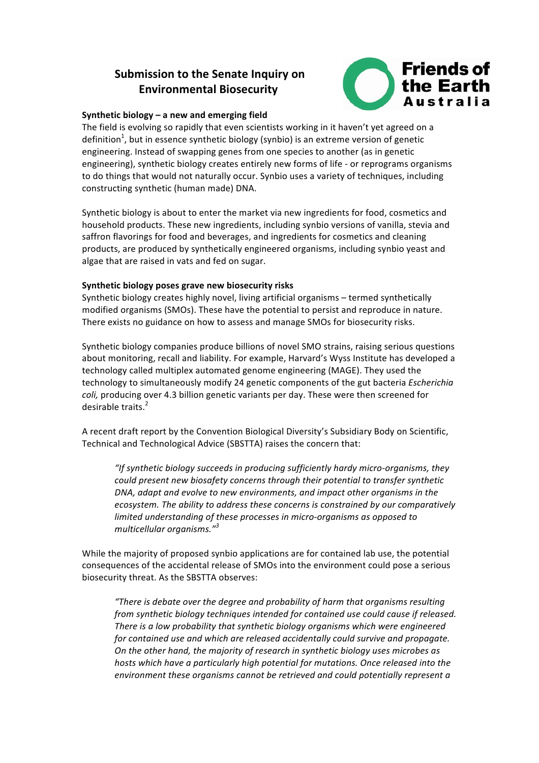# **Submission to the Senate Inquiry on Environmental Biosecurity**



# Synthetic biology – a new and emerging field

The field is evolving so rapidly that even scientists working in it haven't yet agreed on a definition<sup>1</sup>, but in essence synthetic biology (synbio) is an extreme version of genetic engineering. Instead of swapping genes from one species to another (as in genetic engineering), synthetic biology creates entirely new forms of life - or reprograms organisms to do things that would not naturally occur. Synbio uses a variety of techniques, including constructing synthetic (human made) DNA.

Synthetic biology is about to enter the market via new ingredients for food, cosmetics and household products. These new ingredients, including synbio versions of vanilla, stevia and saffron flavorings for food and beverages, and ingredients for cosmetics and cleaning products, are produced by synthetically engineered organisms, including synbio yeast and algae that are raised in vats and fed on sugar.

# Synthetic biology poses grave new biosecurity risks

Synthetic biology creates highly novel, living artificial organisms - termed synthetically modified organisms (SMOs). These have the potential to persist and reproduce in nature. There exists no guidance on how to assess and manage SMOs for biosecurity risks.

Synthetic biology companies produce billions of novel SMO strains, raising serious questions about monitoring, recall and liability. For example, Harvard's Wyss Institute has developed a technology called multiplex automated genome engineering (MAGE). They used the technology to simultaneously modify 24 genetic components of the gut bacteria *Escherichia coli*, producing over 4.3 billion genetic variants per day. These were then screened for desirable traits.<sup>2</sup>

A recent draft report by the Convention Biological Diversity's Subsidiary Body on Scientific, Technical and Technological Advice (SBSTTA) raises the concern that:

"If synthetic biology succeeds in producing sufficiently hardy micro-organisms, they *could* present new biosafety concerns through their potential to transfer synthetic *DNA, adapt and evolve to new environments, and impact other organisms in the* ecosystem. The ability to address these concerns is constrained by our comparatively *limited understanding of these processes in micro-organisms as opposed to multicellular organisms."<sup>3</sup>*

While the majority of proposed synbio applications are for contained lab use, the potential consequences of the accidental release of SMOs into the environment could pose a serious biosecurity threat. As the SBSTTA observes:

"There is debate over the degree and probability of harm that organisms resulting *from synthetic biology techniques intended for contained use could cause if released. There is a low probability that synthetic biology organisms which were engineered for contained use and which are released accidentally could survive and propagate. On the other hand, the majority of research in synthetic biology uses microbes as* hosts which have a particularly high potential for mutations. Once released into the environment these organisms cannot be retrieved and could potentially represent a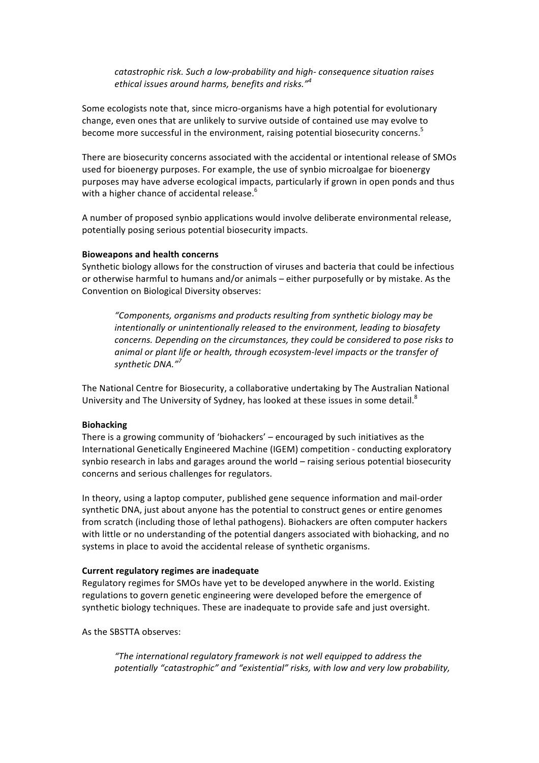*catastrophic risk. Such a low-probability and high- consequence situation raises ethical issues around harms, benefits and risks."<sup>4</sup>*

Some ecologists note that, since micro-organisms have a high potential for evolutionary change, even ones that are unlikely to survive outside of contained use may evolve to become more successful in the environment, raising potential biosecurity concerns.<sup>5</sup>

There are biosecurity concerns associated with the accidental or intentional release of SMOs used for bioenergy purposes. For example, the use of synbio microalgae for bioenergy purposes may have adverse ecological impacts, particularly if grown in open ponds and thus with a higher chance of accidental release.<sup>6</sup>

A number of proposed synbio applications would involve deliberate environmental release, potentially posing serious potential biosecurity impacts.

## **Bioweapons and health concerns**

Synthetic biology allows for the construction of viruses and bacteria that could be infectious or otherwise harmful to humans and/or animals – either purposefully or by mistake. As the Convention on Biological Diversity observes:

*"Components, organisms and products resulting from synthetic biology may be intentionally or unintentionally released to the environment, leading to biosafety concerns. Depending on the circumstances, they could be considered to pose risks to* animal or plant life or health, through ecosystem-level impacts or the transfer of *synthetic DNA."<sup>7</sup>*

The National Centre for Biosecurity, a collaborative undertaking by The Australian National University and The University of Sydney, has looked at these issues in some detail.<sup>8</sup>

### **Biohacking**

There is a growing community of 'biohackers'  $-$  encouraged by such initiatives as the International Genetically Engineered Machine (IGEM) competition - conducting exploratory synbio research in labs and garages around the world – raising serious potential biosecurity concerns and serious challenges for regulators.

In theory, using a laptop computer, published gene sequence information and mail-order synthetic DNA, just about anyone has the potential to construct genes or entire genomes from scratch (including those of lethal pathogens). Biohackers are often computer hackers with little or no understanding of the potential dangers associated with biohacking, and no systems in place to avoid the accidental release of synthetic organisms.

### **Current regulatory regimes are inadequate**

Regulatory regimes for SMOs have yet to be developed anywhere in the world. Existing regulations to govern genetic engineering were developed before the emergence of synthetic biology techniques. These are inadequate to provide safe and just oversight.

As the SBSTTA observes:

"The international regulatory framework is not well equipped to address the potentially "catastrophic" and "existential" risks, with low and very low probability,